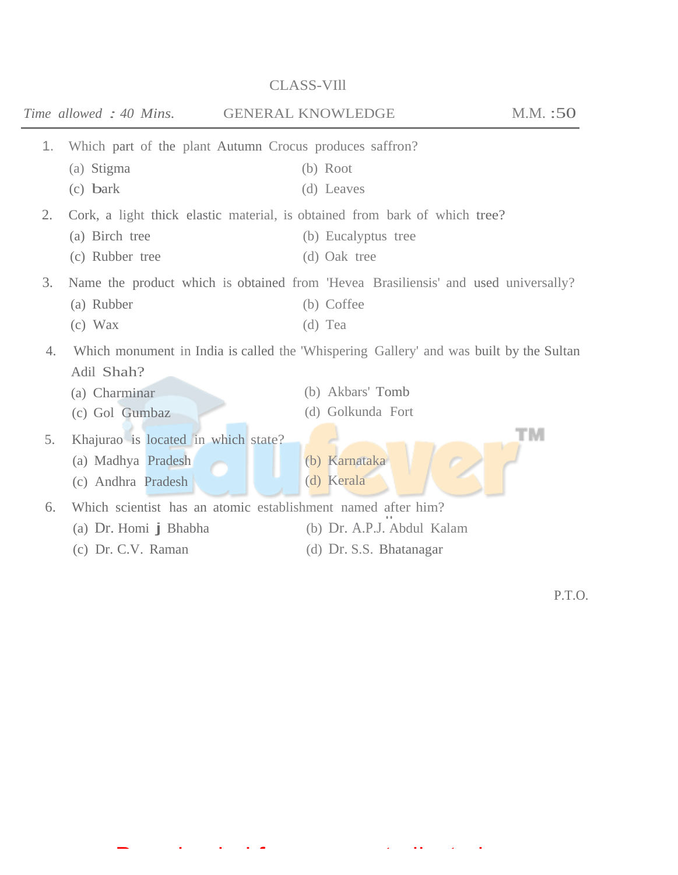## *Time allowed : 40 Mins.* **GENERAL KNOWLEDGE** M.M. :50 1. Which part of the plant Autumn Crocus produces saffron? (a) Stigma (b) Root (c) bark (d) Leaves 2. Cork, a light thick elastic material, is obtained from bark of which tree? (a) Birch tree (b) Eucalyptus tree (c) Rubber tree (d) Oak tree 3. Name the product which is obtained from 'Hevea Brasiliensis' and used universally? (a) Rubber (b) Coffee (c) Wax (d) Tea 4. Which monument in India is called the 'Whispering Gallery' and was built by the Sultan Adil Shah? (b) Akbars' Tomb (a) Charminar (c) Gol Gumbaz (d) Golkunda Fort тм 5. Khajurao is located in which state? (a) Madhya Pradesh (b) Karnataka (c) Andhra Pradesh (d) Kerala 6. Which scientist has an atomic establishment named after him? (a) Dr. Homi j Bhabha (b) Dr. A.P.J. Abdul Kalam (c) Dr. C.V. Raman (d) Dr. S.S. Bhatanagar

Downloaded from www.studiestoday.com

CLASS-VIll

P.T.O.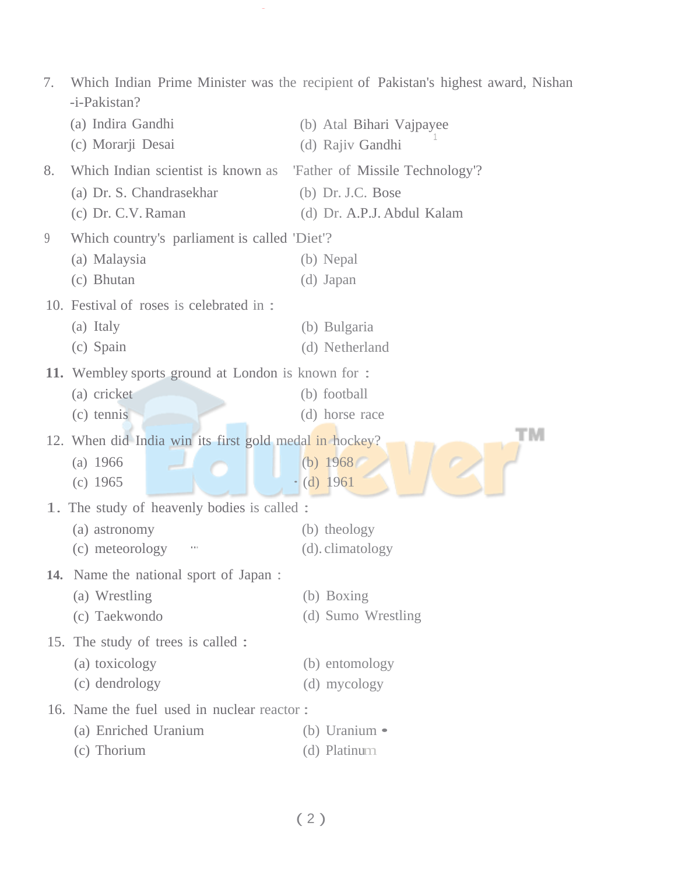| 7.                                                     | -i-Pakistan?                                                        | Which Indian Prime Minister was the recipient of Pakistan's highest award, Nishan |  |
|--------------------------------------------------------|---------------------------------------------------------------------|-----------------------------------------------------------------------------------|--|
|                                                        | (a) Indira Gandhi                                                   | (b) Atal Bihari Vajpayee                                                          |  |
|                                                        | (c) Morarji Desai                                                   | (d) Rajiv Gandhi                                                                  |  |
| 8.                                                     | Which Indian scientist is known as  'Father of Missile Technology'? |                                                                                   |  |
|                                                        | (a) Dr. S. Chandrasekhar                                            | (b) Dr. J.C. Bose                                                                 |  |
|                                                        | (c) Dr. C.V. Raman                                                  | (d) Dr. A.P.J. Abdul Kalam                                                        |  |
| 9                                                      | Which country's parliament is called 'Diet'?                        |                                                                                   |  |
|                                                        | (a) Malaysia                                                        | (b) Nepal                                                                         |  |
|                                                        | (c) Bhutan                                                          | (d) Japan                                                                         |  |
|                                                        | 10. Festival of roses is celebrated in :                            |                                                                                   |  |
|                                                        | (a) Italy                                                           | (b) Bulgaria                                                                      |  |
|                                                        | (c) Spain                                                           | (d) Netherland                                                                    |  |
|                                                        | <b>11.</b> Wembley sports ground at London is known for :           |                                                                                   |  |
|                                                        | (a) cricket                                                         | (b) football                                                                      |  |
|                                                        | (c) tennis                                                          | (d) horse race                                                                    |  |
| 12. When did India win its first gold medal in hockey? |                                                                     | 'M                                                                                |  |
|                                                        | (a) 1966                                                            | (b) $1968$                                                                        |  |
|                                                        | $(c)$ 1965                                                          | (d) 1961                                                                          |  |
|                                                        | 1. The study of heavenly bodies is called :                         |                                                                                   |  |
|                                                        | (a) astronomy                                                       | (b) theology                                                                      |  |
|                                                        | (c) meteorology                                                     | (d). climatology                                                                  |  |
|                                                        | <b>14.</b> Name the national sport of Japan:                        |                                                                                   |  |
|                                                        | (a) Wrestling                                                       | (b) Boxing                                                                        |  |
|                                                        | (c) Taekwondo                                                       | (d) Sumo Wrestling                                                                |  |
| 15. The study of trees is called :                     |                                                                     |                                                                                   |  |
|                                                        | (a) toxicology                                                      | (b) entomology                                                                    |  |
|                                                        | (c) dendrology                                                      | (d) mycology                                                                      |  |
|                                                        | 16. Name the fuel used in nuclear reactor:                          |                                                                                   |  |
|                                                        | (a) Enriched Uranium                                                | (b) Uranium $\bullet$                                                             |  |
|                                                        | (c) Thorium                                                         | (d) Platinum                                                                      |  |
|                                                        |                                                                     |                                                                                   |  |

Downloaded from www.studiestoday.com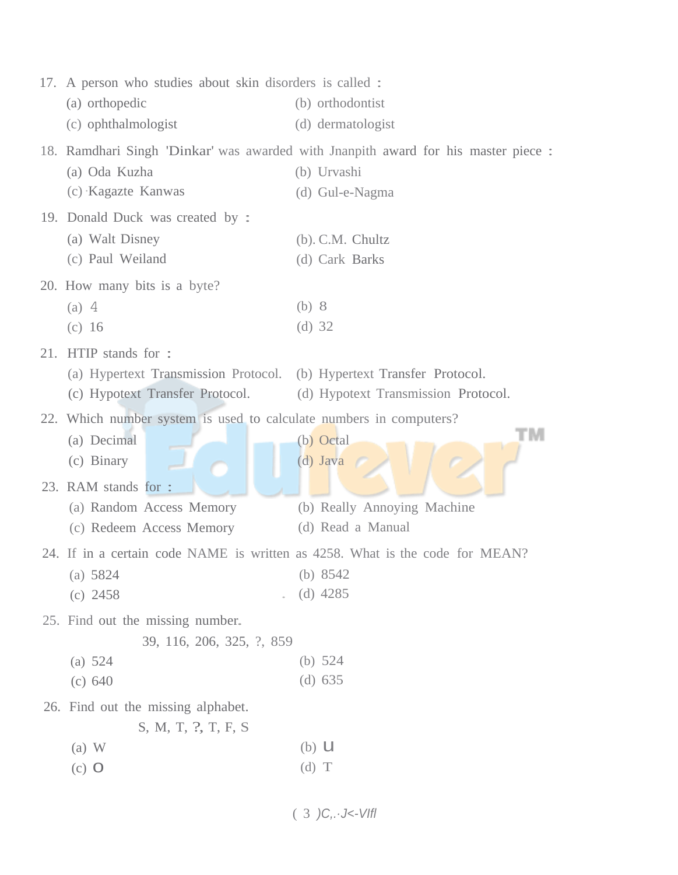|     | 17. A person who studies about skin disorders is called :             |                                                                                   |  |
|-----|-----------------------------------------------------------------------|-----------------------------------------------------------------------------------|--|
|     | (a) orthopedic                                                        | (b) orthodontist                                                                  |  |
|     | (c) ophthalmologist                                                   | (d) dermatologist                                                                 |  |
|     |                                                                       | 18. Ramdhari Singh 'Dinkar' was awarded with Jnanpith award for his master piece: |  |
|     | (a) Oda Kuzha                                                         | (b) Urvashi                                                                       |  |
|     | (c) Kagazte Kanwas                                                    | (d) Gul-e-Nagma                                                                   |  |
|     | 19. Donald Duck was created by:                                       |                                                                                   |  |
|     | (a) Walt Disney                                                       | $(b)$ . C.M. Chultz                                                               |  |
|     | (c) Paul Weiland                                                      | (d) Cark Barks                                                                    |  |
|     | 20. How many bits is a byte?                                          |                                                                                   |  |
|     | $(a)$ 4                                                               | (b) 8                                                                             |  |
|     | (c) 16                                                                | (d) $32$                                                                          |  |
| 21. | HTIP stands for :                                                     |                                                                                   |  |
|     | (a) Hypertext Transmission Protocol. (b) Hypertext Transfer Protocol. |                                                                                   |  |
|     | (c) Hypotext Transfer Protocol.                                       | (d) Hypotext Transmission Protocol.                                               |  |
|     | 22. Which number system is used to calculate numbers in computers?    |                                                                                   |  |
|     | (a) Decimal                                                           | (b) Octal                                                                         |  |
|     | (c) Binary                                                            | $(d)$ Java                                                                        |  |
|     | 23. RAM stands for :                                                  |                                                                                   |  |
|     | (a) Random Access Memory                                              | (b) Really Annoying Machine                                                       |  |
|     | (c) Redeem Access Memory                                              | (d) Read a Manual                                                                 |  |
|     |                                                                       | 24. If in a certain code NAME is written as 4258. What is the code for MEAN?      |  |
|     | (a) $5824$                                                            | (b) $8542$                                                                        |  |
|     | $(c)$ 2458                                                            | $(d)$ 4285                                                                        |  |
|     | 25. Find out the missing number.                                      |                                                                                   |  |
|     | 39, 116, 206, 325, ?, 859                                             |                                                                                   |  |
|     | (a) $524$                                                             | (b) $524$                                                                         |  |
|     | (c) 640                                                               | $(d)$ 635                                                                         |  |
|     | 26. Find out the missing alphabet.                                    |                                                                                   |  |
|     | S, M, T, ?, T, F, S                                                   |                                                                                   |  |
|     | $(a)$ W                                                               | $(b)$ U                                                                           |  |
|     | $(c)$ O                                                               | $(d)$ T                                                                           |  |
|     |                                                                       |                                                                                   |  |

 $(3)C, \frac{1}{5}C$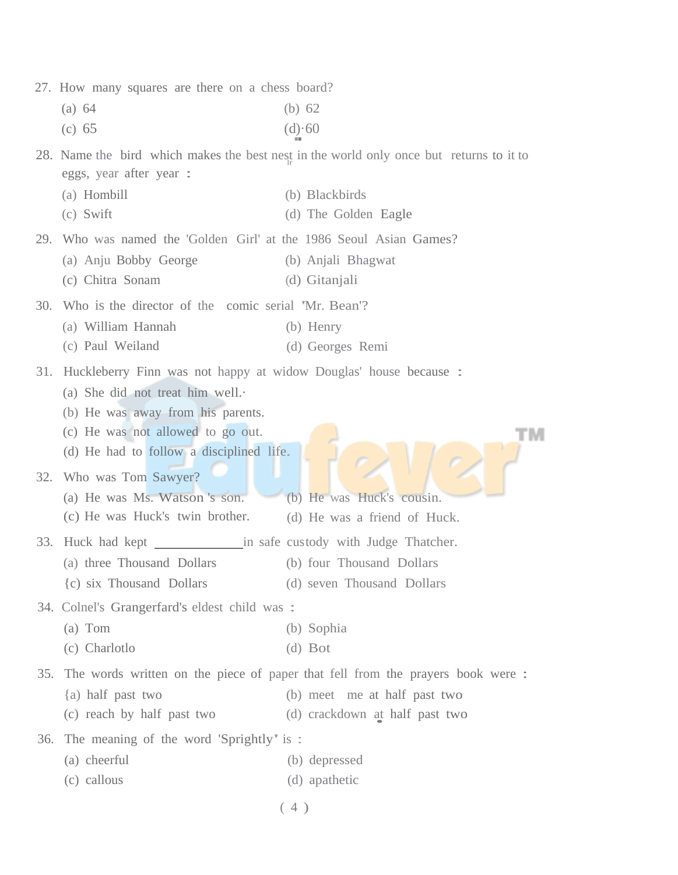|                                              | 27. How many squares are there on a chess board?                                                                                                                                                                          |                                                                                         |  |
|----------------------------------------------|---------------------------------------------------------------------------------------------------------------------------------------------------------------------------------------------------------------------------|-----------------------------------------------------------------------------------------|--|
|                                              | (a) 64                                                                                                                                                                                                                    | (b) $62$                                                                                |  |
|                                              | (c) 65                                                                                                                                                                                                                    | $(d) \cdot 60$                                                                          |  |
|                                              | eggs, year after year :                                                                                                                                                                                                   | 28. Name the bird which makes the best nest in the world only once but returns to it to |  |
|                                              | (a) Hombill                                                                                                                                                                                                               | (b) Blackbirds                                                                          |  |
|                                              | (c) Swift                                                                                                                                                                                                                 | (d) The Golden Eagle                                                                    |  |
| 29.                                          | Who was named the 'Golden Girl' at the 1986 Seoul Asian Games?                                                                                                                                                            |                                                                                         |  |
|                                              | (a) Anju Bobby George                                                                                                                                                                                                     | (b) Anjali Bhagwat                                                                      |  |
|                                              | (c) Chitra Sonam                                                                                                                                                                                                          | (d) Gitanjali                                                                           |  |
| 30.                                          | Who is the director of the comic serial 'Mr. Bean'?                                                                                                                                                                       |                                                                                         |  |
|                                              | (a) William Hannah                                                                                                                                                                                                        | (b) Henry                                                                               |  |
|                                              | (c) Paul Weiland                                                                                                                                                                                                          | (d) Georges Remi                                                                        |  |
| 31.                                          | Huckleberry Finn was not happy at widow Douglas' house because :<br>(a) She did not treat him well.<br>(b) He was away from his parents.<br>(c) He was not allowed to go out.<br>(d) He had to follow a disciplined life. |                                                                                         |  |
| 32.                                          | Who was Tom Sawyer?<br>(a) He was Ms. Watson 's son.<br>(c) He was Huck's twin brother.                                                                                                                                   | (b) He was Huck's cousin.<br>(d) He was a friend of Huck.                               |  |
| 33.                                          | Huck had kept ___________________ in safe custody with Judge Thatcher.                                                                                                                                                    |                                                                                         |  |
|                                              | (a) three Thousand Dollars                                                                                                                                                                                                | (b) four Thousand Dollars                                                               |  |
|                                              | (c) six Thousand Dollars                                                                                                                                                                                                  | (d) seven Thousand Dollars                                                              |  |
| 34. Colnel's Grangerfard's eldest child was: |                                                                                                                                                                                                                           |                                                                                         |  |
|                                              | $(a)$ Tom                                                                                                                                                                                                                 | (b) Sophia                                                                              |  |
|                                              | (c) Charlotlo                                                                                                                                                                                                             | $(d)$ Bot                                                                               |  |
| 35.                                          | The words written on the piece of paper that fell from the prayers book were:                                                                                                                                             |                                                                                         |  |
|                                              | {a) half past two                                                                                                                                                                                                         | (b) meet me at half past two                                                            |  |
|                                              | (c) reach by half past two                                                                                                                                                                                                | (d) crackdown at half past two                                                          |  |
| 36.                                          | The meaning of the word 'Sprightly' is :                                                                                                                                                                                  |                                                                                         |  |
|                                              | (a) cheerful                                                                                                                                                                                                              | (b) depressed                                                                           |  |
|                                              | (c) callous                                                                                                                                                                                                               | (d) apathetic                                                                           |  |
|                                              |                                                                                                                                                                                                                           | (4)                                                                                     |  |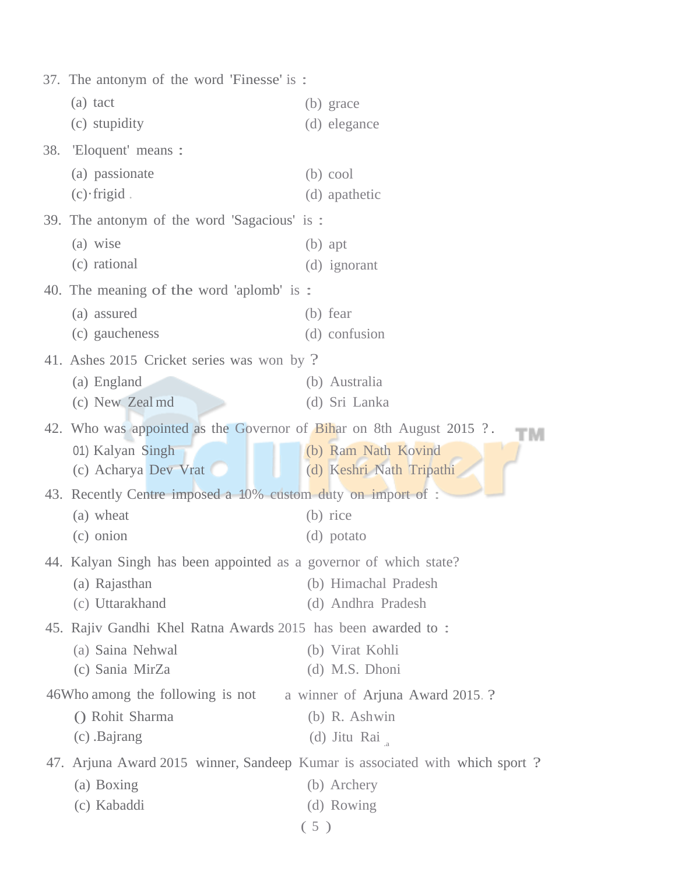|     | 37. The antonym of the word 'Finesse' is:                            |                                                                             |  |
|-----|----------------------------------------------------------------------|-----------------------------------------------------------------------------|--|
|     | (a) tact                                                             | (b) grace                                                                   |  |
|     | (c) stupidity                                                        | (d) elegance                                                                |  |
| 38. | 'Eloquent' means :                                                   |                                                                             |  |
|     | (a) passionate                                                       | $(b)$ cool                                                                  |  |
|     | $(c)$ frigid.                                                        | (d) apathetic                                                               |  |
|     | 39. The antonym of the word 'Sagacious' is:                          |                                                                             |  |
|     | (a) wise                                                             | $(b)$ apt                                                                   |  |
|     | (c) rational                                                         | (d) ignorant                                                                |  |
|     | 40. The meaning of the word 'aplomb' is :                            |                                                                             |  |
|     | (a) assured                                                          | (b) fear                                                                    |  |
|     | (c) gaucheness                                                       | (d) confusion                                                               |  |
|     | 41. Ashes 2015 Cricket series was won by?                            |                                                                             |  |
|     | (a) England                                                          | (b) Australia                                                               |  |
|     | (c) New Zeal md                                                      | (d) Sri Lanka                                                               |  |
|     | 42. Who was appointed as the Governor of Bihar on 8th August 2015 ?. | TM                                                                          |  |
|     | 01) Kalyan Singh                                                     | (b) Ram Nath Kovind                                                         |  |
|     | (c) Acharya Dev Vrat                                                 | (d) Keshri Nath Tripathi                                                    |  |
|     | 43. Recently Centre imposed a 10% custom duty on import of :         |                                                                             |  |
|     | (a) wheat                                                            | (b) rice                                                                    |  |
|     | (c) onion                                                            | (d) potato                                                                  |  |
|     | 44. Kalyan Singh has been appointed as a governor of which state?    |                                                                             |  |
|     | (a) Rajasthan                                                        | (b) Himachal Pradesh                                                        |  |
|     | (c) Uttarakhand                                                      | (d) Andhra Pradesh                                                          |  |
|     | 45. Rajiv Gandhi Khel Ratna Awards 2015 has been awarded to:         |                                                                             |  |
|     | (a) Saina Nehwal                                                     | (b) Virat Kohli                                                             |  |
|     | (c) Sania MirZa                                                      | (d) M.S. Dhoni                                                              |  |
|     | 46Who among the following is not                                     | a winner of Arjuna Award 2015.?                                             |  |
|     | () Rohit Sharma                                                      | (b) R. Ashwin                                                               |  |
|     | (c) Bajrang                                                          | (d) Jitu Rai                                                                |  |
|     |                                                                      | 47. Arjuna Award 2015 winner, Sandeep Kumar is associated with which sport? |  |
|     | (a) Boxing                                                           | (b) Archery                                                                 |  |
|     | (c) Kabaddi                                                          | (d) Rowing                                                                  |  |
|     |                                                                      | (5)                                                                         |  |